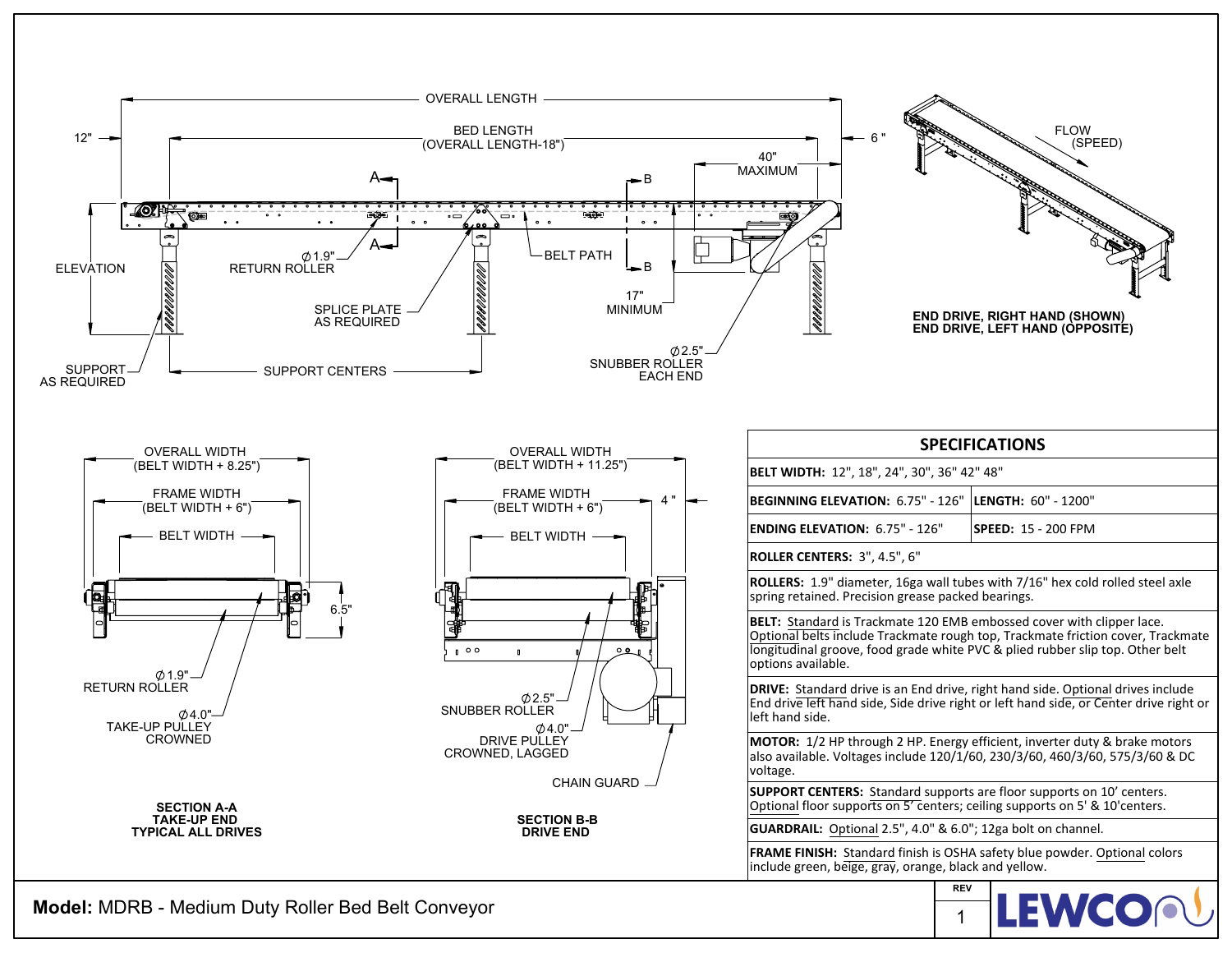

**Model:** MDRB - Medium Duty Roller Bed Belt Conveyor

**LEWCO** 1